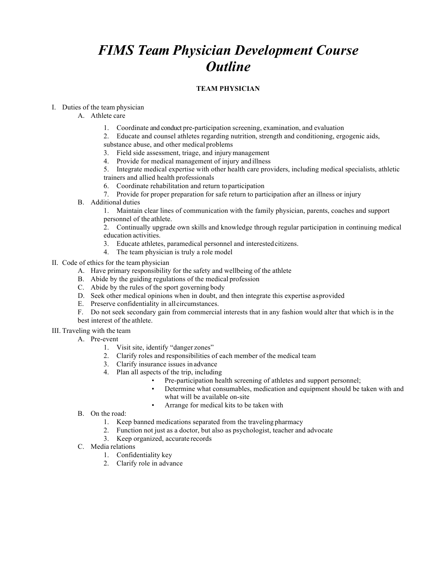# *FIMS Team Physician Development Course Outline*

# **TEAM PHYSICIAN**

# I. Duties of the team physician

- A. Athlete care
	- 1. Coordinate and conduct pre-participation screening, examination, and evaluation
	- 2. Educate and counsel athletes regarding nutrition, strength and conditioning, ergogenic aids,
	- substance abuse, and other medical problems
	- 3. Field side assessment, triage, and injurymanagement
	- 4. Provide for medical management of injury and illness
	- 5. Integrate medical expertise with other health care providers, including medical specialists, athletic trainers and allied health professionals
	- 6. Coordinate rehabilitation and return toparticipation
	- 7. Provide for proper preparation for safe return to participation after an illness or injury
- B. Additional duties
	- 1. Maintain clear lines of communication with the family physician, parents, coaches and support personnel of the athlete.

2. Continually upgrade own skills and knowledge through regular participation in continuing medical education activities.

- 3. Educate athletes, paramedical personnel and interestedcitizens.
- 4. The team physician is truly a role model
- II. Code of ethics for the team physician
	- A. Have primary responsibility for the safety and wellbeing of the athlete
	- B. Abide by the guiding regulations of the medical profession
	- C. Abide by the rules of the sport governing body
	- D. Seek other medical opinions when in doubt, and then integrate this expertise asprovided
	- E. Preserve confidentiality in all circumstances.
	- F. Do not seek secondary gain from commercial interests that in any fashion would alter that which is in the best interest of the athlete.
- III. Traveling with the team
	- A. Pre-event
		- 1. Visit site, identify "danger zones"
		- 2. Clarify roles and responsibilities of each member of the medical team
		- 3. Clarify insurance issues in advance
		- 4. Plan all aspects of the trip, including
			- Pre-participation health screening of athletes and support personnel;
			- Determine what consumables, medication and equipment should be taken with and what will be available on-site
			- Arrange for medical kits to be taken with
		- B. On the road:
			- 1. Keep banned medications separated from the traveling pharmacy
			- 2. Function not just as a doctor, but also as psychologist, teacher and advocate
			- 3. Keep organized, accurate records
		- C. Media relations
			- 1. Confidentiality key
			- 2. Clarify role in advance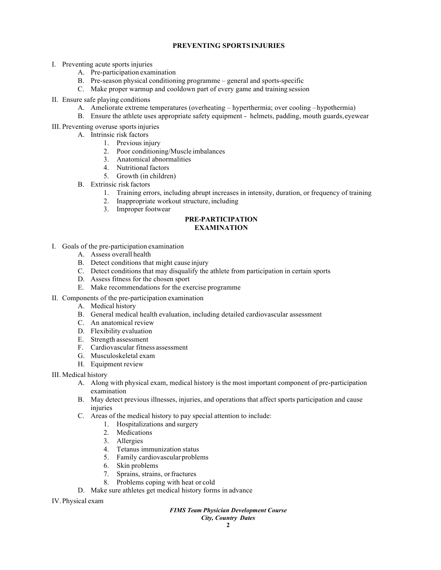# **PREVENTING SPORTSINJURIES**

- I. Preventing acute sports injuries
	- A. Pre-participation examination
	- B. Pre-season physical conditioning programme general and sports-specific
	- C. Make proper warmup and cooldown part of every game and training session
- II. Ensure safe playing conditions
	- A. Ameliorate extreme temperatures (overheating hyperthermia; over cooling –hypothermia)
	- B. Ensure the athlete uses appropriate safety equipment helmets, padding, mouth guards,eyewear
- III. Preventing overuse sportsinjuries
	- A. Intrinsic risk factors
		- 1. Previous injury
		- 2. Poor conditioning/Muscle imbalances
		- 3. Anatomical abnormalities
		- 4. Nutritional factors
		- 5. Growth (in children)
	- B. Extrinsic risk factors
		- 1. Training errors, including abrupt increases in intensity, duration, or frequency of training
		- 2. Inappropriate workout structure, including
		- 3. Improper footwear

## **PRE-PARTICIPATION EXAMINATION**

- I. Goals of the pre-participation examination
	- A. Assess overall health
	- B. Detect conditions that might cause injury
	- C. Detect conditions that may disqualify the athlete from participation in certain sports
	- D. Assess fitness for the chosen sport
	- E. Make recommendations for the exercise programme
- II. Components of the pre-participation examination
	- A. Medical history
	- B. General medical health evaluation, including detailed cardiovascular assessment
	- C. An anatomical review
	- D. Flexibility evaluation
	- E. Strength assessment
	- F. Cardiovascular fitness assessment
	- G. Musculoskeletal exam
	- H. Equipment review

III. Medical history

- A. Along with physical exam, medical history is the most important component of pre-participation examination
- B. May detect previous illnesses, injuries, and operations that affect sports participation and cause injuries
- C. Areas of the medical history to pay special attention to include:
	- 1. Hospitalizations and surgery
		- 2. Medications
		- 3. Allergies
		- 4. Tetanus immunization status
		- 5. Family cardiovascular problems
		- 6. Skin problems
		- 7. Sprains, strains, or fractures
		- 8. Problems coping with heat or cold
- D. Make sure athletes get medical history forms in advance

IV. Physical exam

## *FIMS Team Physician Development Course*

*City, Country Dates*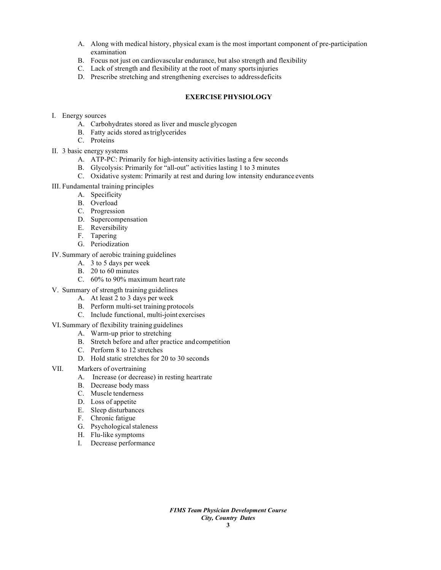- A. Along with medical history, physical exam is the most important component of pre-participation examination
- B. Focus not just on cardiovascular endurance, but also strength and flexibility
- C. Lack of strength and flexibility at the root of many sportsinjuries
- D. Prescribe stretching and strengthening exercises to addressdeficits

## **EXERCISE PHYSIOLOGY**

- I. Energy sources
	- A. Carbohydrates stored as liver and muscle glycogen
	- B. Fatty acids stored astriglycerides
	- C. Proteins
- II. 3 basic energy systems
	- A. ATP-PC: Primarily for high-intensity activities lasting a few seconds
	- B. Glycolysis: Primarily for "all-out" activities lasting 1 to 3 minutes
	- C. Oxidative system: Primarily at rest and during low intensity endurance events
- III. Fundamental training principles
	- A. Specificity
	- B. Overload
	- C. Progression
	- D. Supercompensation
	- E. Reversibility
	- F. Tapering
	- G. Periodization
- IV. Summary of aerobic training guidelines
	- A. 3 to 5 days per week
	- B. 20 to 60 minutes
	- C. 60% to 90% maximum heartrate
- V. Summary of strength training guidelines
	- A. At least 2 to 3 days per week
	- B. Perform multi-set training protocols
	- C. Include functional, multi-joint exercises
- VI. Summary of flexibility training guidelines
	- A. Warm-up prior to stretching
	- B. Stretch before and after practice andcompetition
	- C. Perform 8 to 12 stretches
	- D. Hold static stretches for 20 to 30 seconds
- VII. Markers of overtraining
	- A. Increase (or decrease) in resting heartrate
	- B. Decrease body mass
	- C. Muscle tenderness
	- D. Loss of appetite
	- E. Sleep disturbances
	- F. Chronic fatigue
	- G. Psychological staleness
	- H. Flu-like symptoms
	- I. Decrease performance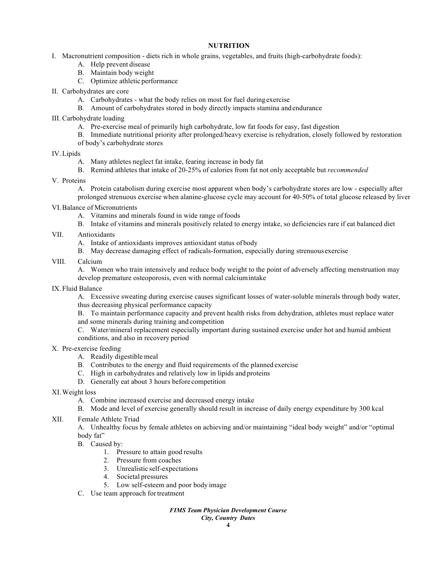# **NUTRITION**

- I. Macronutrient composition diets rich in whole grains, vegetables, and fruits (high-carbohydrate foods):
	- A. Help prevent disease
	- B. Maintain body weight
	- C. Optimize athletic performance
- II. Carbohydrates are core
	- A. Carbohydrates what the body relies on most for fuel duringexercise
	- B. Amount of carbohydrates stored in body directly impacts stamina andendurance

III. Carbohydrate loading

- A. Pre-exercise meal of primarily high carbohydrate, low fat foods for easy, fast digestion
- B. Immediate nutritional priority after prolonged/heavy exercise is rehydration, closely followed by restoration of body's carbohydrate stores
- IV.Lipids
	- A. Many athletes neglect fat intake, fearing increase in body fat
	- B. Remind athletes that intake of 20-25% of calories from fat not only acceptable but *recommended*
- V. Proteins
	- A. Protein catabolism during exercise most apparent when body's carbohydrate stores are low especially after prolonged strenuous exercise when alanine-glucose cycle may account for 40-50% of total glucose released by liver
- VI.Balance of Micronutrients
	- A. Vitamins and minerals found in wide range offoods
	- B. Intake of vitamins and minerals positively related to energy intake, so deficiencies rare if eat balanced diet
- VII. Antioxidants
	- A. Intake of antioxidants improves antioxidant status of body
	- B. May decrease damaging effect of radicals-formation, especially during strenuousexercise
- VIII. Calcium

A. Women who train intensively and reduce body weight to the point of adversely affecting menstruation may develop premature osteoporosis, even with normal calciumintake

IX. Fluid Balance

A. Excessive sweating during exercise causes significant losses of water-soluble minerals through body water, thus decreasing physical performance capacity

B. To maintain performance capacity and prevent health risks from dehydration, athletes must replace water and some minerals during training and competition

C. Water/mineral replacement especially important during sustained exercise under hot and humid ambient conditions, and also in recovery period

# X. Pre-exercise feeding

- A. Readily digestible meal
- B. Contributes to the energy and fluid requirements of the planned exercise
- C. High in carbohydrates and relatively low in lipids and proteins
- D. Generally eat about 3 hours before competition
- XI.Weight loss
	- A. Combine increased exercise and decreased energy intake
	- B. Mode and level of exercise generally should result in increase of daily energy expenditure by 300 kcal
- XII. Female Athlete Triad

A. Unhealthy focus by female athletes on achieving and/or maintaining "ideal body weight" and/or "optimal body fat"

- B. Caused by:
	- 1. Pressure to attain good results
	- 2. Pressure from coaches
	- 3. Unrealistic self-expectations
	- 4. Societal pressures
	- 5. Low self-esteem and poor body image
- C. Use team approach fortreatment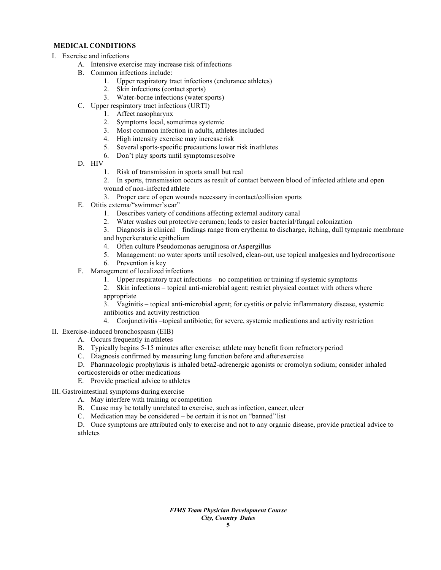# **MEDICAL CONDITIONS**

- I. Exercise and infections
	- A. Intensive exercise may increase risk ofinfections
	- B. Common infections include:
		- 1. Upper respiratory tract infections (endurance athletes)
		- 2. Skin infections (contact sports)
		- 3. Water-borne infections (water sports)
	- C. Upper respiratory tract infections (URTI)
		- 1. Affect nasopharynx
			- 2. Symptoms local, sometimes systemic
		- 3. Most common infection in adults, athletes included
		- 4. High intensity exercise may increase risk
		- 5. Several sports-specific precautions lower risk inathletes
		- 6. Don't play sports until symptomsresolve
	- D. HIV
		- 1. Risk of transmission in sports small but real
		- 2. In sports, transmission occurs as result of contact between blood of infected athlete and open
		- wound of non-infected athlete
		- 3. Proper care of open wounds necessary incontact/collision sports
	- E. Otitis externa/"swimmer's ear"
		- 1. Describes variety of conditions affecting external auditory canal
		- 2. Water washes out protective cerumen; leads to easier bacterial/fungal colonization
		- 3. Diagnosis is clinical findings range from erythema to discharge, itching, dull tympanic membrane
		- and hyperkeratotic epithelium
		- 4. Often culture Pseudomonas aeruginosa or Aspergillus
		- 5. Management: no water sports until resolved, clean-out, use topical analgesics and hydrocortisone
		- 6. Prevention is key
	- F. Management of localized infections
		- 1. Upper respiratory tract infections no competition or training if systemic symptoms
		- 2. Skin infections topical anti-microbial agent; restrict physical contact with others where appropriate

3. Vaginitis – topical anti-microbial agent; for cystitis or pelvic inflammatory disease, systemic antibiotics and activity restriction

- 4. Conjunctivitis –topical antibiotic; for severe, systemic medications and activity restriction
- II. Exercise-induced bronchospasm (EIB)
	- A. Occurs frequently in athletes
	- B. Typically begins 5-15 minutes after exercise; athlete may benefit from refractoryperiod
	- C. Diagnosis confirmed by measuring lung function before and after exercise
	- D. Pharmacologic prophylaxis is inhaled beta2-adrenergic agonists or cromolyn sodium; consider inhaled corticosteroids or other medications
	- E. Provide practical advice toathletes

III. Gastrointestinal symptoms during exercise

- A. May interfere with training or competition
- B. Cause may be totally unrelated to exercise, such as infection, cancer, ulcer
- C. Medication may be considered be certain it is not on "banned" list
- D. Once symptoms are attributed only to exercise and not to any organic disease, provide practical advice to athletes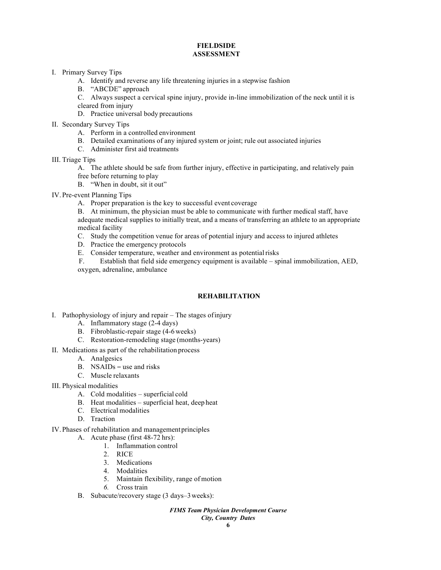#### **FIELDSIDE ASSESSMENT**

- I. Primary Survey Tips
	- A. Identify and reverse any life threatening injuries in a stepwise fashion
	- B. "ABCDE" approach
	- C. Always suspect a cervical spine injury, provide in-line immobilization of the neck until it is

cleared from injury

- D. Practice universal body precautions
- II. Secondary Survey Tips
	- A. Perform in a controlled environment
	- B. Detailed examinations of any injured system or joint; rule out associated injuries
	- C. Administer first aid treatments
- III. Triage Tips

A. The athlete should be safe from further injury, effective in participating, and relatively pain

- free before returning to play
- B. "When in doubt, sit it out"
- IV. Pre-event Planning Tips
	- A. Proper preparation is the key to successful event coverage
	- B. At minimum, the physician must be able to communicate with further medical staff, have adequate medical supplies to initially treat, and a means of transferring an athlete to an appropriate medical facility
	- C. Study the competition venue for areas of potential injury and access to injured athletes
	- D. Practice the emergency protocols
	- E. Consider temperature, weather and environment as potentialrisks

F. Establish that field side emergency equipment is available – spinal immobilization, AED, oxygen, adrenaline, ambulance

# **REHABILITATION**

- I. Pathophysiology of injury and repair The stages ofinjury
	- A. Inflammatory stage (2-4 days)
	- B. Fibroblastic-repair stage (4-6weeks)
	- C. Restoration-remodeling stage (months-years)
- II. Medications as part of the rehabilitation process
	- A. Analgesics
	- B. NSAIDs use and risks
	- C. Muscle relaxants
- III. Physical modalities
	- A. Cold modalities superficial cold
	- B. Heat modalities superficial heat, deep heat
	- C. Electrical modalities
	- D. Traction
- IV. Phases of rehabilitation and managementprinciples
	- A. Acute phase (first 48-72 hrs):
		- 1. Inflammation control
		- 2. RICE
		- 3. Medications
		- 4. Modalities
		- 5. Maintain flexibility, range of motion
		- *6.* Cross train
	- B. Subacute/recovery stage (3 days–3weeks):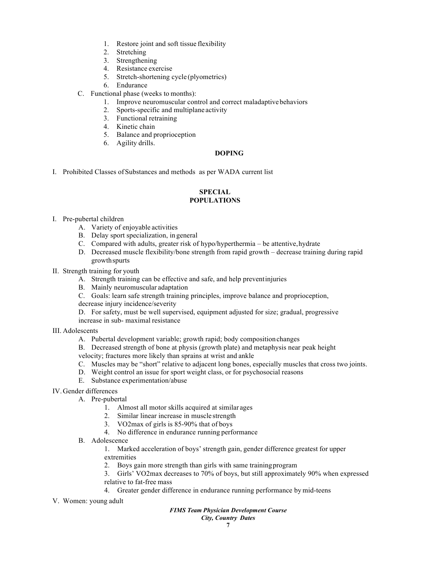- 1. Restore joint and soft tissue flexibility
- 2. Stretching
- 3. Strengthening
- 4. Resistance exercise
- 5. Stretch-shortening cycle (plyometrics)
- 6. Endurance
- C. Functional phase (weeks to months):
	- 1. Improve neuromuscular control and correct maladaptivebehaviors
	- 2. Sports-specific and multiplane activity
	- 3. Functional retraining
	- 4. Kinetic chain
	- 5. Balance and proprioception
	- 6. Agility drills.

#### **DOPING**

I. Prohibited Classes ofSubstances and methods as per WADA current list

#### **SPECIAL POPULATIONS**

#### I. Pre-pubertal children

- A. Variety of enjoyable activities
- B. Delay sport specialization, in general
- C. Compared with adults, greater risk of hypo/hyperthermia be attentive, hydrate
- D. Decreased muscle flexibility/bone strength from rapid growth decrease training during rapid growthspurts
- II. Strength training for youth
	- A. Strength training can be effective and safe, and help preventinjuries
	- B. Mainly neuromuscular adaptation
	- C. Goals: learn safe strength training principles, improve balance and proprioception,
	- decrease injury incidence/severity
	- D. For safety, must be well supervised, equipment adjusted for size; gradual, progressive

increase in sub- maximal resistance

- III. Adolescents
	- A. Pubertal development variable; growth rapid; body compositionchanges
	- B. Decreased strength of bone at physis (growth plate) and metaphysis near peak height

velocity; fractures more likely than sprains at wrist and ankle

- C. Muscles may be "short" relative to adjacent long bones, especially muscles that cross two joints.
- D. Weight control an issue for sport weight class, or for psychosocial reasons
- E. Substance experimentation/abuse

# IV.Gender differences

- A. Pre-pubertal
	- 1. Almost all motor skills acquired at similar ages
	- 2. Similar linear increase in muscle strength
	- 3. VO2max of girls is 85-90% that of boys
	- 4. No difference in endurance running performance
- B. Adolescence

1. Marked acceleration of boys' strength gain, gender difference greatest for upper extremities

2. Boys gain more strength than girls with same trainingprogram

3. Girls' VO2max decreases to 70% of boys, but still approximately 90% when expressed relative to fat-free mass

- 4. Greater gender difference in endurance running performance by mid-teens
- V. Women: young adult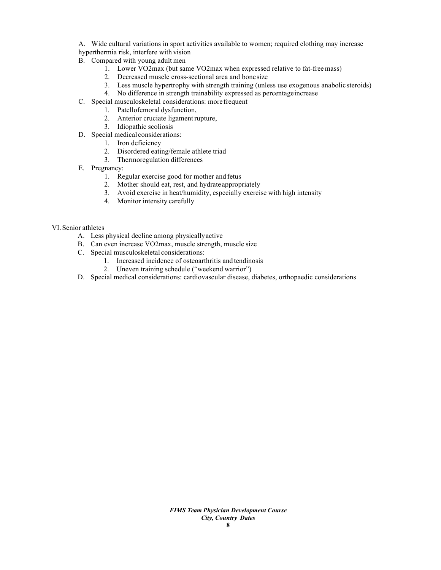A. Wide cultural variations in sport activities available to women; required clothing may increase hyperthermia risk, interfere with vision

- B. Compared with young adult men
	- 1. Lower VO2max (but same VO2max when expressed relative to fat-free mass)
	- 2. Decreased muscle cross-sectional area and bone size
	- 3. Less muscle hypertrophy with strength training (unless use exogenous anabolic steroids)
	- 4. No difference in strength trainability expressed as percentageincrease
- C. Special musculoskeletal considerations: more frequent
	- 1. Patellofemoral dysfunction,
	- 2. Anterior cruciate ligament rupture,
	- 3. Idiopathic scoliosis
- D. Special medical considerations:
	- 1. Iron deficiency
	- 2. Disordered eating/female athlete triad
	- 3. Thermoregulation differences
- E. Pregnancy:
	- 1. Regular exercise good for mother and fetus
	- 2. Mother should eat, rest, and hydrateappropriately
	- 3. Avoid exercise in heat/humidity, especially exercise with high intensity
	- 4. Monitor intensity carefully

#### VI. Senior athletes

- A. Less physical decline among physicallyactive
- B. Can even increase VO2max, muscle strength, muscle size
- C. Special musculoskeletal considerations:
	- 1. Increased incidence of osteoarthritis and tendinosis
	- 2. Uneven training schedule ("weekend warrior")
- D. Special medical considerations: cardiovascular disease, diabetes, orthopaedic considerations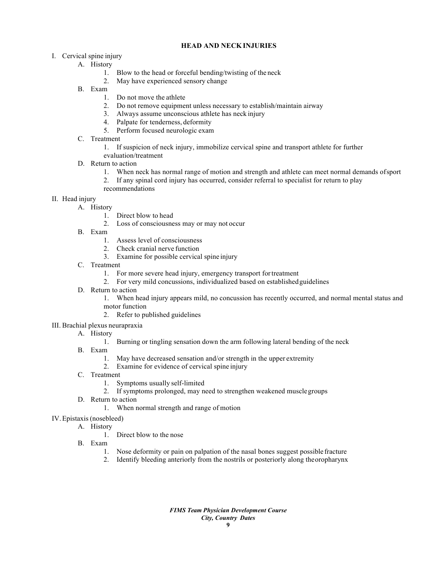# **HEAD AND NECK INJURIES**

# I. Cervical spine injury

- A. History
	- 1. Blow to the head or forceful bending/twisting of the neck
	- 2. May have experienced sensory change
- B. Exam
	- 1. Do not move the athlete
	- 2. Do not remove equipment unless necessary to establish/maintain airway
	- 3. Always assume unconscious athlete has neck injury
	- 4. Palpate for tenderness, deformity
	- 5. Perform focused neurologic exam
- C. Treatment
	- 1. If suspicion of neck injury, immobilize cervical spine and transport athlete for further
	- evaluation/treatment
- D. Return to action
	- 1. When neck has normal range of motion and strength and athlete can meet normal demands ofsport
	- 2. If any spinal cord injury has occurred, consider referral to specialist for return to play
	- recommendations
- II. Head injury
	- A. History
		- 1. Direct blow to head
		- 2. Loss of consciousness may or may not occur
	- B. Exam
		- 1. Assess level of consciousness
		- 2. Check cranial nerve function
		- 3. Examine for possible cervical spine injury
	- C. Treatment
		- 1. For more severe head injury, emergency transport fortreatment
		- 2. For very mild concussions, individualized based on establishedguidelines
	- D. Return to action

1. When head injury appears mild, no concussion has recently occurred, and normal mental status and motor function

- 2. Refer to published guidelines
- III. Brachial plexus neurapraxia
	- A. History
		- 1. Burning or tingling sensation down the arm following lateral bending of the neck
	- B. Exam
		- 1. May have decreased sensation and/or strength in the upper extremity
		- 2. Examine for evidence of cervical spine injury
	- C. Treatment
		- 1. Symptoms usually self-limited
		- 2. If symptoms prolonged, may need to strengthen weakened musclegroups
	- D. Return to action
		- 1. When normal strength and range of motion
- IV.Epistaxis (nosebleed)
	- A. History
		- 1. Direct blow to the nose
	- B. Exam
		- 1. Nose deformity or pain on palpation of the nasal bones suggest possible fracture 2. Identify bleeding anteriorly from the nostrils or posteriorly along the oropharynx
		- 2. Identify bleeding anteriorly from the nostrils or posteriorly along theoropharynx

*FIMS Team Physician Development Course City, Country Dates*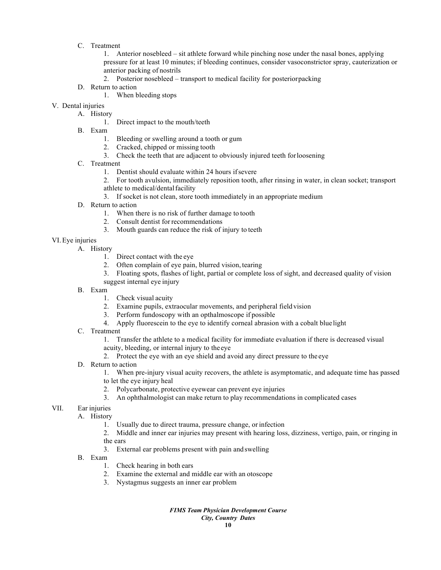C. Treatment

1. Anterior nosebleed – sit athlete forward while pinching nose under the nasal bones, applying pressure for at least 10 minutes; if bleeding continues, consider vasoconstrictor spray, cauterization or anterior packing of nostrils

- 2. Posterior nosebleed transport to medical facility for posteriorpacking
- D. Return to action
	- 1. When bleeding stops
- V. Dental injuries

A. History

- 1. Direct impact to the mouth/teeth
- B. Exam
	- 1. Bleeding or swelling around a tooth or gum
	- 2. Cracked, chipped or missing tooth
	- 3. Check the teeth that are adjacent to obviously injured teeth forloosening
- C. Treatment
	- 1. Dentist should evaluate within 24 hours ifsevere
	- 2. For tooth avulsion, immediately reposition tooth, after rinsing in water, in clean socket; transport athlete to medical/dental facility
	- 3. If socket is not clean, store tooth immediately in an appropriate medium
- D. Return to action
	- 1. When there is no risk of further damage to tooth
	- 2. Consult dentist forrecommendations
	- 3. Mouth guards can reduce the risk of injury to teeth
- VI.Eye injuries
	- A. History
		- 1. Direct contact with the eye
		- 2. Often complain of eye pain, blurred vision, tearing
		- 3. Floating spots, flashes of light, partial or complete loss of sight, and decreased quality of vision suggest internal eye injury
		- B. Exam
			- 1. Check visual acuity
			- 2. Examine pupils, extraocular movements, and peripheral field vision
			- 3. Perform fundoscopy with an opthalmoscope if possible
			- 4. Apply fluorescein to the eye to identify corneal abrasion with a cobalt blue light
		- C. Treatment
			- 1. Transfer the athlete to a medical facility for immediate evaluation if there is decreased visual acuity, bleeding, or internal injury to the eye
			- 2. Protect the eye with an eye shield and avoid any direct pressure to the eye
		- D. Return to action
			- 1. When pre-injury visual acuity recovers, the athlete is asymptomatic, and adequate time has passed to let the eye injury heal
			- 2. Polycarbonate, protective eyewear can prevent eye injuries
			- 3. An ophthalmologist can make return to play recommendations in complicated cases
- VII. Ear injuries
	- A. History
		- 1. Usually due to direct trauma, pressure change, orinfection
		- 2. Middle and inner ear injuries may present with hearing loss, dizziness, vertigo, pain, or ringing in the ears
		- 3. External ear problems present with pain and swelling
	- B. Exam
		- 1. Check hearing in both ears
		- 2. Examine the external and middle ear with an otoscope
		- 3. Nystagmus suggests an inner ear problem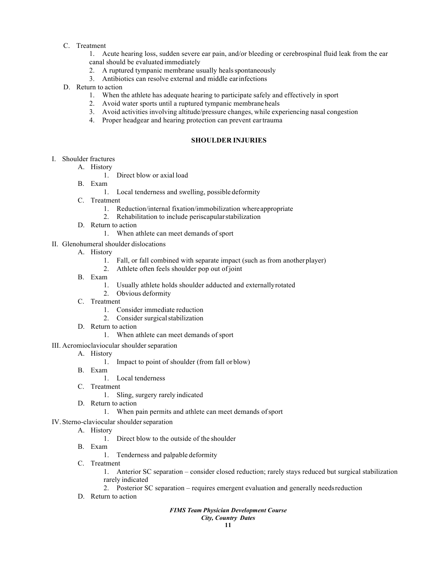C. Treatment

1. Acute hearing loss, sudden severe ear pain, and/or bleeding or cerebrospinal fluid leak from the ear canal should be evaluated immediately

- 2. A ruptured tympanic membrane usually healsspontaneously
- 3. Antibiotics can resolve external and middle earinfections
- D. Return to action
	- 1. When the athlete has adequate hearing to participate safely and effectively in sport
	- 2. Avoid water sports until a ruptured tympanic membrane heals
	- 3. Avoid activities involving altitude/pressure changes, while experiencing nasal congestion
	- 4. Proper headgear and hearing protection can prevent eartrauma

#### **SHOULDER INJURIES**

- I. Shoulder fractures
	- A. History
		- 1. Direct blow or axial load
	- B. Exam
		- 1. Local tenderness and swelling, possible deformity
	- C. Treatment
		- 1. Reduction/internal fixation/immobilization whereappropriate
		- 2. Rehabilitation to include periscapularstabilization
	- D. Return to action
		- 1. When athlete can meet demands of sport
- II. Glenohumeral shoulder dislocations
	- A. History
		- 1. Fall, or fall combined with separate impact (such as from another player)
		- 2. Athlete often feels shoulder pop out ofjoint
	- B. Exam
		- 1. Usually athlete holds shoulder adducted and externallyrotated
		- 2. Obvious deformity
	- C. Treatment
		- 1. Consider immediate reduction
		- 2. Consider surgical stabilization
	- D. Return to action
		- 1. When athlete can meet demands of sport
- III. Acromioclaviocular shoulder separation
	- A. History
		- 1. Impact to point of shoulder (from fall or blow)
	- B. Exam
		- 1. Local tenderness
	- C. Treatment
		- 1. Sling, surgery rarely indicated
	- D. Return to action
		- 1. When pain permits and athlete can meet demands ofsport
- IV. Sterno-claviocular shoulder separation
	- A. History
		- 1. Direct blow to the outside of the shoulder
	- B. Exam
		- 1. Tenderness and palpable deformity
	- C. Treatment
		- 1. Anterior SC separation consider closed reduction; rarely stays reduced but surgical stabilization rarely indicated
		- 2. Posterior SC separation requires emergent evaluation and generally needsreduction
	- D. Return to action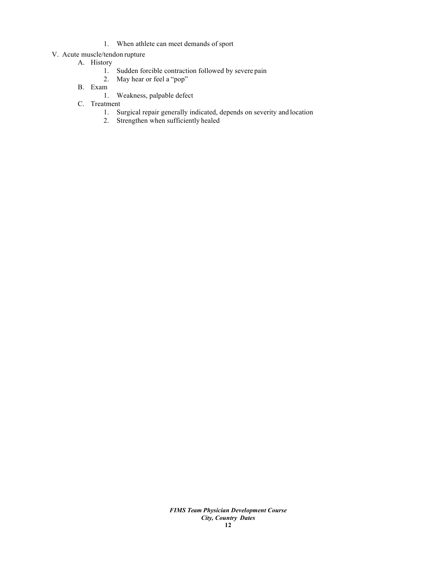1. When athlete can meet demands of sport

# V. Acute muscle/tendon rupture

- A. History
	- 1. Sudden forcible contraction followed by severe pain
	- 2. May hear or feel a "pop"
- B. Exam
	- 1. Weakness, palpable defect
- C. Treatment
	- 1. Surgical repair generally indicated, depends on severity and location
	- 2. Strengthen when sufficiently healed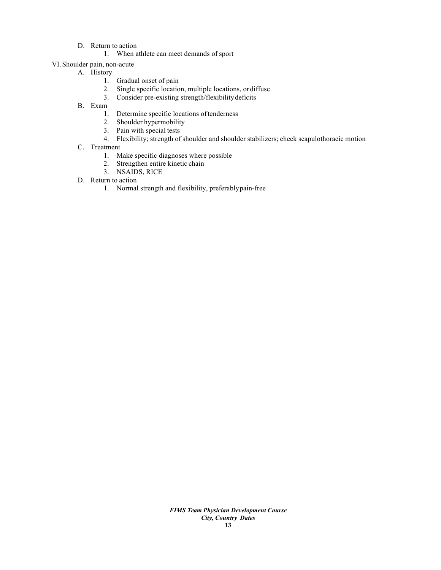- D. Return to action
	- 1. When athlete can meet demands of sport
- VI. Shoulder pain, non-acute
	- A. History
		- 1. Gradual onset of pain
		- 2. Single specific location, multiple locations, ordiffuse
		- 3. Consider pre-existing strength/flexibilitydeficits
	- B. Exam
		- 1. Determine specific locations oftenderness
		- 2. Shoulder hypermobility
		- 3. Pain with special tests
		- 4. Flexibility; strength of shoulder and shoulder stabilizers; check scapulothoracic motion
	- C. Treatment
		- 1. Make specific diagnoses where possible
		- 2. Strengthen entire kinetic chain
		- 3. NSAIDS, RICE
	- D. Return to action
		- 1. Normal strength and flexibility, preferablypain-free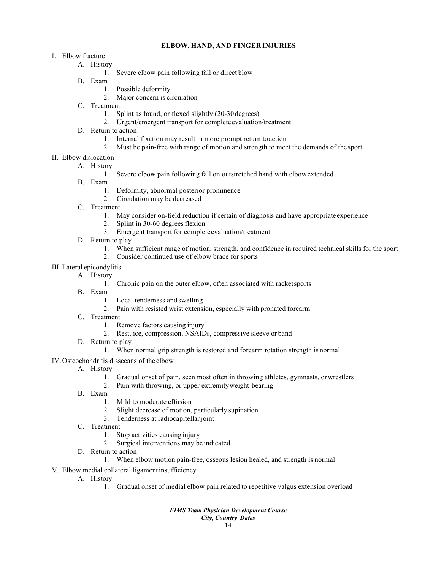# **ELBOW, HAND, AND FINGER INJURIES**

- I. Elbow fracture
	- A. History
		- 1. Severe elbow pain following fall or direct blow
	- B. Exam
		- 1. Possible deformity
		- 2. Major concern is circulation
	- C. Treatment
		- 1. Splint as found, or flexed slightly (20-30 degrees)
		- 2. Urgent/emergent transport for completeevaluation/treatment
	- D. Return to action
		- 1. Internal fixation may result in more prompt return toaction
		- 2. Must be pain-free with range of motion and strength to meet the demands of the sport
- II. Elbow dislocation
	- A. History
		- 1. Severe elbow pain following fall on outstretched hand with elbowextended
	- B. Exam
		- 1. Deformity, abnormal posterior prominence
		- 2. Circulation may be decreased
	- C. Treatment
		- 1. May consider on-field reduction if certain of diagnosis and have appropriate experience
		- 2. Splint in 30-60 degrees flexion
		- 3. Emergent transport for completeevaluation/treatment
	- D. Return to play
		- 1. When sufficient range of motion, strength, and confidence in required technical skills for the sport
		- 2. Consider continued use of elbow brace for sports
- III. Lateral epicondylitis
	- A. History
		- 1. Chronic pain on the outer elbow, often associated with racketsports
	- B. Exam
		- 1. Local tenderness and swelling
		- 2. Pain with resisted wrist extension, especially with pronated forearm
	- C. Treatment
		- 1. Remove factors causing injury
		- 2. Rest, ice, compression, NSAIDs, compressive sleeve or band
	- D. Return to play
		- 1. When normal grip strength is restored and forearm rotation strength is normal
- IV.Osteochondritis dissecans of the elbow
	- A. History
		- 1. Gradual onset of pain, seen most often in throwing athletes, gymnasts, orwrestlers
		- 2. Pain with throwing, or upper extremityweight-bearing
	- B. Exam
		- 1. Mild to moderate effusion
		- 2. Slight decrease of motion, particularly supination
		- 3. Tenderness at radiocapitellar joint
	- C. Treatment
		- 1. Stop activities causing injury
		- 2. Surgical interventions may be indicated
	- D. Return to action
		- 1. When elbow motion pain-free, osseous lesion healed, and strength is normal
- V. Elbow medial collateral ligamentinsufficiency
	- A. History
		- 1. Gradual onset of medial elbow pain related to repetitive valgus extension overload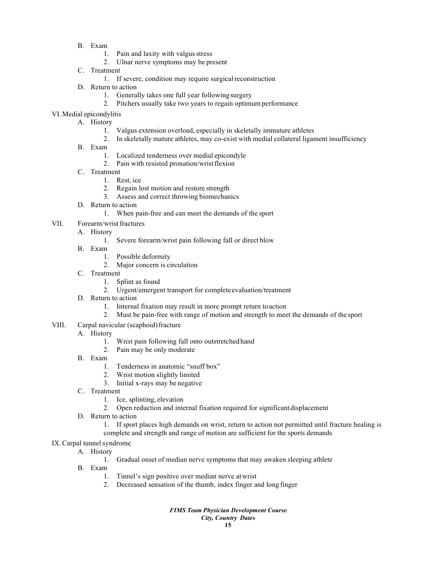- B. Exam
	- 1. Pain and laxity with valgus stress
	- 2. Ulnar nerve symptoms may be present
- C. Treatment
	- 1. If severe, condition may require surgical reconstruction
- D. Return to action
	- 1. Generally takes one full year following surgery
	- 2. Pitchers usually take two years to regain optimumperformance
- VI.Medial epicondylitis
	- A. History
		- 1. Valgus extension overload, especially in skeletally immature athletes
		- 2. In skeletally mature athletes, may co-exist with medial collateral ligament insufficiency
	- B. Exam
		- 1. Localized tenderness over medial epicondyle
		- 2. Pain with resisted pronation/wristflexion
	- C. Treatment
		- 1. Rest, ice
		- 2. Regain lost motion and restore strength
		- 3. Assess and correct throwing biomechanics
	- D. Return to action
		- 1. When pain-free and can meet the demands of the sport
- VII. Forearm/wrist fractures
	- A. History
		- 1. Severe forearm/wrist pain following fall or direct blow
		- B. Exam
			- 1. Possible deformity
			- 2. Major concern is circulation
		- C. Treatment
			- 1. Splint as found
			- 2. Urgent/emergent transport for completeevaluation/treatment
		- D. Return to action
			- 1. Internal fixation may result in more prompt return toaction
			- 2. Must be pain-free with range of motion and strength to meet the demands of the sport
- VIII. Carpal navicular (scaphoid) fracture
	- A. History
		- 1. Wrist pain following fall onto outstretchedhand
		- 2. Pain may be only moderate
	- B. Exam
		- 1. Tenderness in anatomic "snuff box"
		- 2. Wrist motion slightly limited
		- 3. Initial x-rays may be negative
	- C. Treatment
		- 1. Ice, splinting, elevation
		- 2. Open reduction and internal fixation required for significant displacement
	- D. Return to action
		- 1. If sport places high demands on wrist, return to action not permitted until fracture healing is complete and strength and range of motion are sufficient for the sports demands
- IX.Carpal tunnel syndrome
	- A. History
		- 1. Gradual onset of median nerve symptoms that may awaken sleeping athlete
	- B. Exam
		- 1. Tinnel's sign positive over median nerve atwrist
		- 2. Decreased sensation of the thumb, index finger and long finger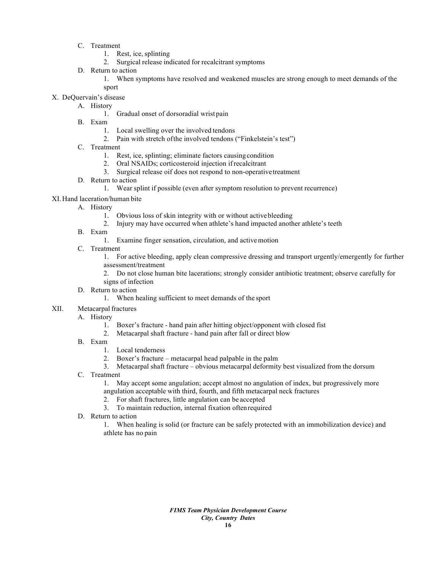- C. Treatment
	- 1. Rest, ice, splinting
	- 2. Surgical release indicated for recalcitrant symptoms
- D. Return to action
	- 1. When symptoms have resolved and weakened muscles are strong enough to meet demands of the sport
- X. DeQuervain's disease
	- A. History
		- 1. Gradual onset of dorsoradial wrist pain
	- B. Exam
		- 1. Local swelling over the involved tendons
		- 2. Pain with stretch ofthe involved tendons ("Finkelstein's test")
	- C. Treatment
		- 1. Rest, ice, splinting; eliminate factors causingcondition
		- 2. Oral NSAIDs; corticosteroid injection ifrecalcitrant
		- 3. Surgical release oif does not respond to non-operativetreatment
	- D. Return to action
		- 1. Wear splint if possible (even after symptom resolution to prevent recurrence)
- XI.Hand laceration/human bite
	- A. History
		- 1. Obvious loss of skin integrity with or without activebleeding
		- 2. Injury may have occurred when athlete's hand impacted another athlete's teeth
	- B. Exam
		- 1. Examine finger sensation, circulation, and activemotion
	- C. Treatment

1. For active bleeding, apply clean compressive dressing and transport urgently/emergently for further assessment/treatment

2. Do not close human bite lacerations; strongly consider antibiotic treatment; observe carefully for signs of infection

- D. Return to action
	- 1. When healing sufficient to meet demands of the sport
- XII. Metacarpal fractures

#### A. History

- 1. Boxer's fracture hand pain after hitting object/opponent with closed fist
- 2. Metacarpal shaft fracture hand pain after fall or direct blow
- B. Exam
	- 1. Local tenderness
	- 2. Boxer's fracture metacarpal head palpable in the palm
	- 3. Metacarpal shaft fracture obvious metacarpal deformity best visualized from the dorsum
- C. Treatment

1. May accept some angulation; accept almost no angulation of index, but progressively more angulation acceptable with third, fourth, and fifth metacarpal neck fractures

- 2. For shaft fractures, little angulation can be accepted
- 3. To maintain reduction, internal fixation oftenrequired
- D. Return to action

1. When healing is solid (or fracture can be safely protected with an immobilization device) and athlete has no pain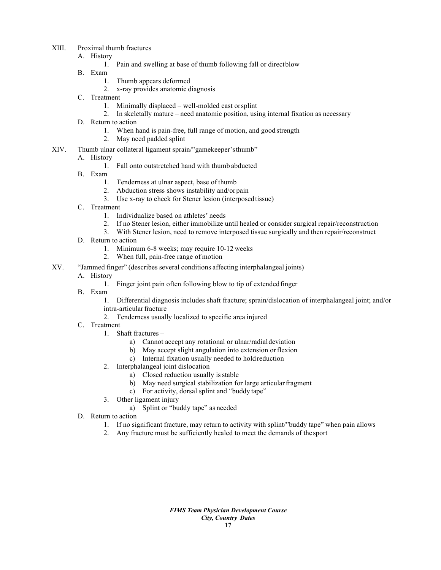- XIII. Proximal thumb fractures
	- A. History
		- 1. Pain and swelling at base of thumb following fall or directblow
	- B. Exam
		- 1. Thumb appears deformed
		- 2. x-ray provides anatomic diagnosis
	- C. Treatment
		- 1. Minimally displaced well-molded cast orsplint
		- 2. In skeletally mature need anatomic position, using internal fixation as necessary
	- D. Return to action
		- 1. When hand is pain-free, full range of motion, and good strength
		- 2. May need padded splint
- XIV. Thumb ulnar collateral ligament sprain/"gamekeeper'sthumb"

# A. History

- 1. Fall onto outstretched hand with thumb abducted
- B. Exam
	- 1. Tenderness at ulnar aspect, base of thumb
	- 2. Abduction stress shows instability and/orpain
	- 3. Use x-ray to check for Stener lesion (interposedtissue)
- C. Treatment
	- 1. Individualize based on athletes' needs
	- 2. If no Stener lesion, either immobilize until healed or consider surgical repair/reconstruction
	- 3. With Stener lesion, need to remove interposed tissue surgically and then repair/reconstruct
- D. Return to action
	- 1. Minimum 6-8 weeks; may require 10-12 weeks
	- 2. When full, pain-free range of motion
- XV. "Jammed finger" (describes several conditions affecting interphalangeal joints)
	- A. History
		- 1. Finger joint pain often following blow to tip of extendedfinger
	- B. Exam
		- 1. Differential diagnosis includes shaft fracture; sprain/dislocation of interphalangeal joint; and/or intra-articular fracture
		- 2. Tenderness usually localized to specific area injured
	- C. Treatment
		- 1. Shaft fractures
			- a) Cannot accept any rotational or ulnar/radialdeviation
			- b) May accept slight angulation into extension or flexion
			- c) Internal fixation usually needed to hold reduction
		- 2. Interphalangeal joint dislocation
			- a) Closed reduction usually is stable
			- b) May need surgical stabilization for large articular fragment
			- c) For activity, dorsal splint and "buddy tape"
		- 3. Other ligament injury
			- a) Splint or "buddy tape" as needed
	- D. Return to action
		- 1. If no significant fracture, may return to activity with splint/"buddy tape" when pain allows
		- 2. Any fracture must be sufficiently healed to meet the demands of thesport

*FIMS Team Physician Development Course City, Country Dates* **17**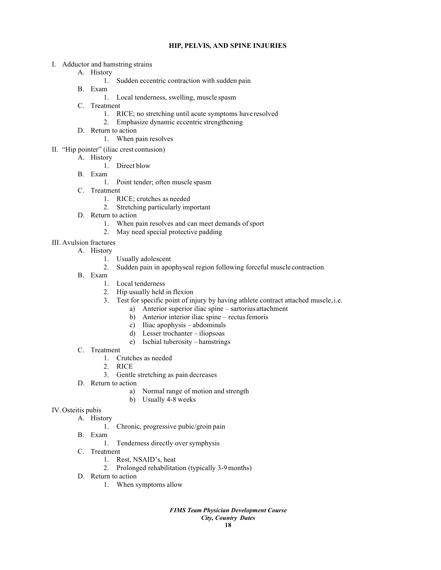## **HIP, PELVIS, AND SPINE INJURIES**

- I. Adductor and hamstring strains
	- A. History
		- 1. Sudden eccentric contraction with sudden pain
	- B. Exam
		- 1. Local tenderness, swelling, muscle spasm
	- C. Treatment
		- 1. RICE; no stretching until acute symptoms have resolved
		- 2. Emphasize dynamic eccentric strengthening
	- D. Return to action
		- 1. When pain resolves
- II. "Hip pointer" (iliac crest contusion)
	- A. History
		- 1. Direct blow
	- B. Exam
		- 1. Point tender; often muscle spasm
	- C. Treatment
		- 1. RICE; crutches as needed
		- 2. Stretching particularly important
	- D. Return to action
		- 1. When pain resolves and can meet demands of sport
		- 2. May need special protective padding
- III. Avulsion fractures
	- A. History
		- 1. Usually adolescent
		- 2. Sudden pain in apophyseal region following forceful muscle contraction
	- B. Exam
		- 1. Local tenderness
		- 2. Hip usually held in flexion
		- 3. Test for specific point of injury by having athlete contract attached muscle,i.e.
			- a) Anterior superior iliac spine sartorius attachment
			- b) Anterior interior iliac spine rectus femoris
			- c) Iliac apophysis abdominals
			- d) Lesser trochanter iliopsoas
			- e) Ischial tuberosity hamstrings
	- C. Treatment
		- 1. Crutches as needed
		- 2. RICE
		- 3. Gentle stretching as pain decreases
	- D. Return to action
		- a) Normal range of motion and strength
		- b) Usually 4-8 weeks

# IV.Osteitis pubis

- A. History
	- 1. Chronic, progressive pubic/groin pain
- B. Exam
	- 1. Tenderness directly over symphysis
- C. Treatment
	- 1. Rest, NSAID's, heat
	- 2. Prolonged rehabilitation (typically 3-9months)
- D. Return to action
	- 1. When symptoms allow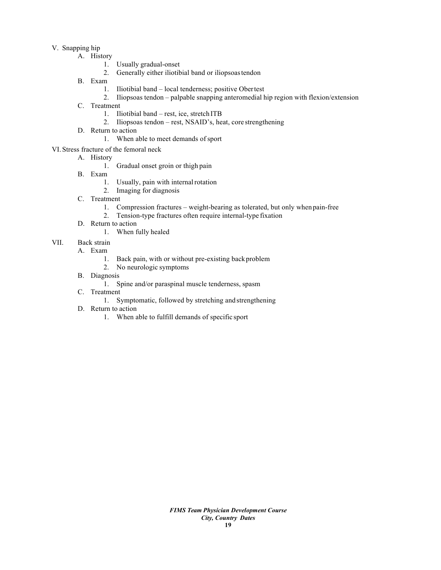# V. Snapping hip

- A. History
	- 1. Usually gradual-onset
	- 2. Generally either iliotibial band or iliopsoastendon
	- B. Exam
		- 1. Iliotibial band local tenderness; positive Obertest
		- 2. Iliopsoas tendon palpable snapping anteromedial hip region with flexion/extension
	- C. Treatment
		- 1. Iliotibial band rest, ice, stretch ITB
		- 2. Iliopsoas tendon rest, NSAID's, heat, core strengthening
	- D. Return to action
		- 1. When able to meet demands of sport

# VI. Stress fracture of the femoral neck

- A. History
	- 1. Gradual onset groin or thigh pain
- B. Exam
	- 1. Usually, pain with internal rotation
	- 2. Imaging for diagnosis
- C. Treatment
	- 1. Compression fractures weight-bearing as tolerated, but only when pain-free
	- 2. Tension-type fractures often require internal-type fixation
- D. Return to action
	- 1. When fully healed
- VII. Back strain
	- A. Exam
		- 1. Back pain, with or without pre-existing back problem
		- 2. No neurologic symptoms
	- B. Diagnosis
		- 1. Spine and/or paraspinal muscle tenderness, spasm
	- C. Treatment
		- 1. Symptomatic, followed by stretching and strengthening
	- D. Return to action
		- 1. When able to fulfill demands of specific sport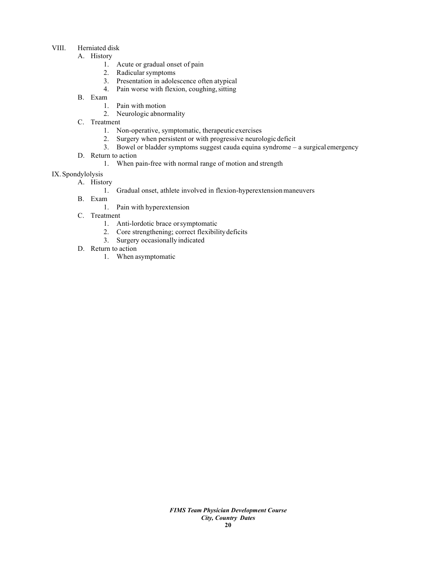# VIII. Herniated disk

- A. History
	- 1. Acute or gradual onset of pain
	- 2. Radicular symptoms
	- 3. Presentation in adolescence often atypical
	- 4. Pain worse with flexion, coughing, sitting
- B. Exam
	- 1. Pain with motion
	- 2. Neurologic abnormality
- C. Treatment
	- 1. Non-operative, symptomatic, therapeutic exercises
	- 2. Surgery when persistent or with progressive neurologic deficit
	- 3. Bowel or bladder symptoms suggest cauda equina syndrome a surgical emergency
- D. Return to action
	- 1. When pain-free with normal range of motion and strength
- IX. Spondylolysis
	- A. History
		- 1. Gradual onset, athlete involved in flexion-hyperextensionmaneuvers
	- B. Exam
		- 1. Pain with hyperextension
	- C. Treatment
		- 1. Anti-lordotic brace orsymptomatic
		- 2. Core strengthening; correct flexibilitydeficits
		- 3. Surgery occasionally indicated
	- D. Return to action
		- 1. When asymptomatic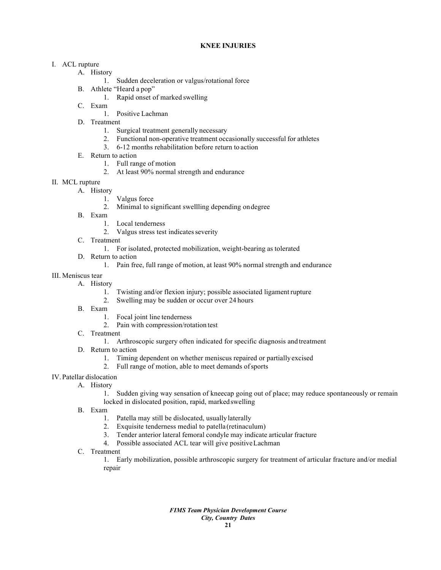# **KNEE INJURIES**

# I. ACL rupture

- A. History
	- 1. Sudden deceleration or valgus/rotational force
- B. Athlete "Heard a pop"
	- 1. Rapid onset of marked swelling
- C. Exam
	- 1. Positive Lachman
- D. Treatment
	- 1. Surgical treatment generally necessary
	- 2. Functional non-operative treatment occasionally successful for athletes
	- 3. 6-12 months rehabilitation before return to action
- E. Return to action
	- 1. Full range of motion
	- 2. At least 90% normal strength and endurance
- II. MCL rupture
	- A. History
		- 1. Valgus force
		- 2. Minimal to significant swellling depending ondegree
	- B. Exam
		- 1. Local tenderness
		- 2. Valgus stress test indicates severity
	- C. Treatment
		- 1. For isolated, protected mobilization, weight-bearing as tolerated
	- D. Return to action
		- 1. Pain free, full range of motion, at least 90% normal strength and endurance

# III. Meniscus tear

- A. History
	- 1. Twisting and/or flexion injury; possible associated ligament rupture
	- 2. Swelling may be sudden or occur over 24 hours
- B. Exam
	- 1. Focal joint line tenderness
	- 2. Pain with compression/rotation test
- C. Treatment
	- 1. Arthroscopic surgery often indicated for specific diagnosis and treatment
- D. Return to action
	- 1. Timing dependent on whether meniscus repaired or partially excised
	- 2. Full range of motion, able to meet demands ofsports
- IV. Patellar dislocation
	- A. History
		- 1. Sudden giving way sensation of kneecap going out of place; may reduce spontaneously or remain locked in dislocated position, rapid, marked swelling
	- B. Exam
		- 1. Patella may still be dislocated, usuallylaterally
		- 2. Exquisite tenderness medial to patella(retinaculum)
		- 3. Tender anterior lateral femoral condyle may indicate articular fracture
		- 4. Possible associated ACL tear will give positiveLachman
	- C. Treatment

1. Early mobilization, possible arthroscopic surgery for treatment of articular fracture and/or medial repair

> *FIMS Team Physician Development Course City, Country Dates* **21**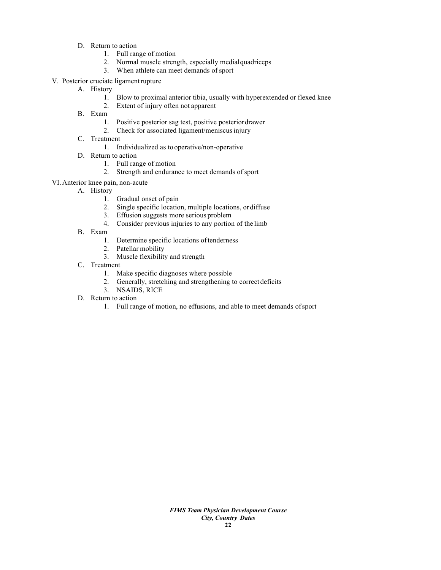- D. Return to action
	- 1. Full range of motion
	- 2. Normal muscle strength, especially medialquadriceps
	- 3. When athlete can meet demands of sport
- V. Posterior cruciate ligamentrupture
	- A. History
		- 1. Blow to proximal anterior tibia, usually with hyperextended or flexed knee
		- 2. Extent of injury often not apparent
	- B. Exam
		- 1. Positive posterior sag test, positive posteriordrawer
		- 2. Check for associated ligament/meniscus injury
	- C. Treatment
		- 1. Individualized as tooperative/non-operative
	- D. Return to action
		- 1. Full range of motion
		- 2. Strength and endurance to meet demands of sport
- VI.Anterior knee pain, non-acute
	- A. History
		- 1. Gradual onset of pain
		- 2. Single specific location, multiple locations, ordiffuse
		- 3. Effusion suggests more serious problem
		- 4. Consider previous injuries to any portion of the limb
	- B. Exam
		- 1. Determine specific locations oftenderness
		- 2. Patellar mobility
		- 3. Muscle flexibility and strength
	- C. Treatment
		- 1. Make specific diagnoses where possible
		- 2. Generally, stretching and strengthening to correct deficits
		- 3. NSAIDS, RICE
	- D. Return to action
		- 1. Full range of motion, no effusions, and able to meet demands ofsport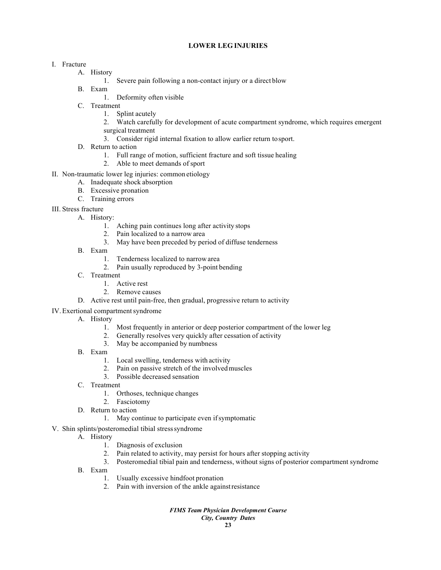#### **LOWER LEG INJURIES**

# I. Fracture

- A. History
	- 1. Severe pain following a non-contact injury or a direct blow
- B. Exam
	- 1. Deformity often visible
- C. Treatment
	- 1. Splint acutely
	- 2. Watch carefully for development of acute compartment syndrome, which requires emergent surgical treatment
	- 3. Consider rigid internal fixation to allow earlier return tosport.
- D. Return to action
	- 1. Full range of motion, sufficient fracture and soft tissue healing
	- 2. Able to meet demands of sport
- II. Non-traumatic lower leg injuries: common etiology
	- A. Inadequate shock absorption
	- B. Excessive pronation
	- C. Training errors
- III. Stress fracture
	- A. History:
		- 1. Aching pain continues long after activity stops
		- 2. Pain localized to a narrow area
		- 3. May have been preceded by period of diffuse tenderness
	- B. Exam
		- 1. Tenderness localized to narrow area
		- 2. Pain usually reproduced by 3-point bending
	- C. Treatment
		- 1. Active rest
		- 2. Remove causes
	- D. Active rest until pain-free, then gradual, progressive return to activity
- IV. Exertional compartment syndrome
	- A. History
		- 1. Most frequently in anterior or deep posterior compartment of the lower leg
		- 2. Generally resolves very quickly after cessation of activity
		- 3. May be accompanied by numbness
	- B. Exam
		- 1. Local swelling, tenderness with activity
		- 2. Pain on passive stretch of the involvedmuscles
		- 3. Possible decreased sensation
	- C. Treatment
		- 1. Orthoses, technique changes
		- 2. Fasciotomy
	- D. Return to action
		- 1. May continue to participate even ifsymptomatic
- V. Shin splints/posteromedial tibial stresssyndrome
	- A. History
		- 1. Diagnosis of exclusion
		- 2. Pain related to activity, may persist for hours after stopping activity
		- 3. Posteromedial tibial pain and tenderness, without signs of posterior compartment syndrome
	- B. Exam
		- 1. Usually excessive hindfoot pronation
		- 2. Pain with inversion of the ankle againstresistance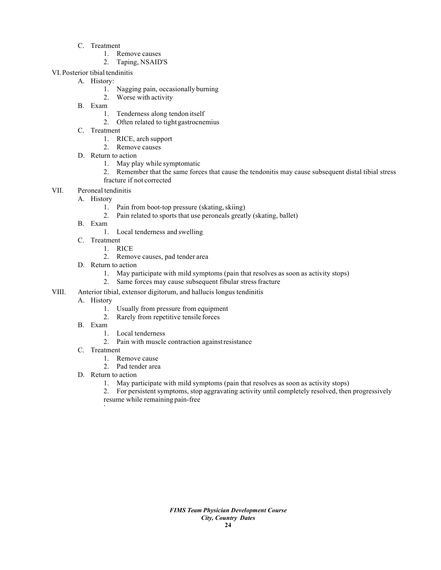- C. Treatment
	- 1. Remove causes
	- 2. Taping, NSAID'S
- VI. Posterior tibial tendinitis
	- A. History:
		- 1. Nagging pain, occasionally burning
		- 2. Worse with activity
	- B. Exam
		- 1. Tenderness along tendon itself
		- 2. Often related to tight gastrocnemius
	- C. Treatment
		- 1. RICE, arch support
		- 2. Remove causes
	- D. Return to action
		- 1. May play while symptomatic
		- 2. Remember that the same forces that cause the tendonitis may cause subsequent distal tibial stress fracture if not corrected
- VII. Peroneal tendinitis
	- A. History
		- 1. Pain from boot-top pressure (skating, skiing)
		- 2. Pain related to sports that use peroneals greatly (skating, ballet)
	- B. Exam
		- 1. Local tenderness and swelling
	- C. Treatment
		- 1. RICE
			- 2. Remove causes, pad tender area
	- D. Return to action
		- 1. May participate with mild symptoms (pain that resolves as soon as activity stops)
		- 2. Same forces may cause subsequent fibular stressfracture
- VIII. Anterior tibial, extensor digitorum, and hallucis longus tendinitis
	- A. History
		- 1. Usually from pressure from equipment
		- 2. Rarely from repetitive tensile forces
	- B. Exam
		- 1. Local tenderness
		- 2. Pain with muscle contraction againstresistance
	- C. Treatment
		- 1. Remove cause
		- 2. Pad tender area
	- D. Return to action

`

1. May participate with mild symptoms (pain that resolves as soon as activity stops)

2. For persistent symptoms, stop aggravating activity until completely resolved, then progressively resume while remaining pain-free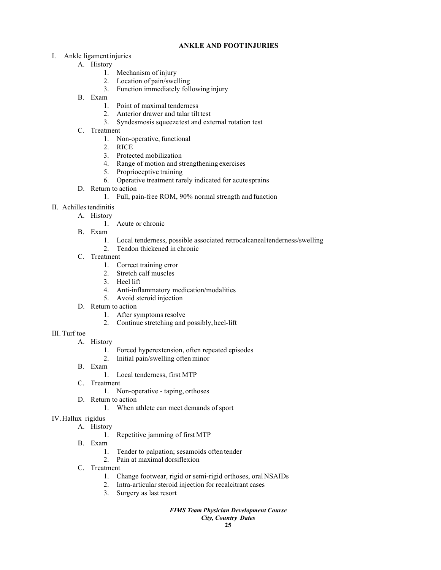# **ANKLE AND FOOTINJURIES**

- I. Ankle ligament injuries
	- A. History
		- 1. Mechanism of injury
		- 2. Location of pain/swelling
		- 3. Function immediately following injury
	- B. Exam
		- 1. Point of maximal tenderness
		- 2. Anterior drawer and talar tilt test
		- 3. Syndesmosis squeezetest and external rotation test
	- C. Treatment
		- 1. Non-operative, functional
		- 2. RICE
		- 3. Protected mobilization
		- 4. Range of motion and strengthening exercises
		- 5. Proprioceptive training
		- 6. Operative treatment rarely indicated for acute sprains
	- D. Return to action
		- 1. Full, pain-free ROM, 90% normal strength and function
- II. Achilles tendinitis
	- A. History
		- 1. Acute or chronic
	- B. Exam
		- 1. Local tenderness, possible associated retrocalcanealtenderness/swelling
		- 2. Tendon thickened in chronic
	- C. Treatment
		- 1. Correct training error
		- 2. Stretch calf muscles
		- 3. Heel lift
		- 4. Anti-inflammatory medication/modalities
		- 5. Avoid steroid injection
	- D. Return to action
		- 1. After symptoms resolve
		- 2. Continue stretching and possibly, heel-lift
- III. Turf toe
	- A. History
		- 1. Forced hyperextension, often repeated episodes
		- 2. Initial pain/swelling often minor
	- B. Exam
		- 1. Local tenderness, first MTP
	- C. Treatment
		- 1. Non-operative taping, orthoses
	- D. Return to action
		- 1. When athlete can meet demands of sport
- IV.Hallux rigidus
	- A. History
		- 1. Repetitive jamming of first MTP
	- B. Exam
		- 1. Tender to palpation; sesamoids often tender
		- 2. Pain at maximal dorsiflexion
	- C. Treatment
		- 1. Change footwear, rigid or semi-rigid orthoses, oral NSAIDs
		- 2. Intra-articular steroid injection for recalcitrant cases
		- 3. Surgery as last resort

# *FIMS Team Physician Development Course*

# *City, Country Dates*